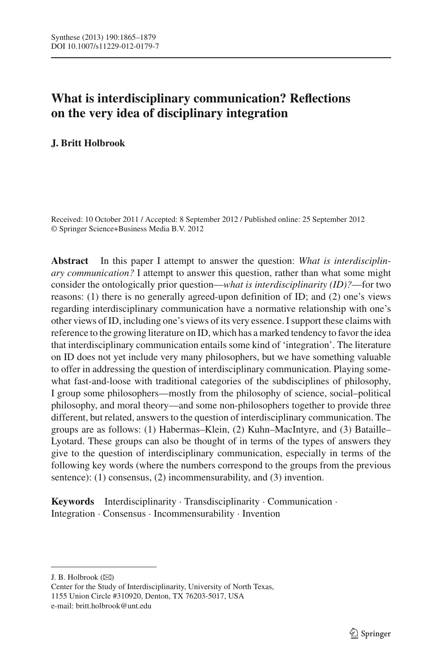# **What is interdisciplinary communication? Reflections on the very idea of disciplinary integration**

### **J. Britt Holbrook**

Received: 10 October 2011 / Accepted: 8 September 2012 / Published online: 25 September 2012 © Springer Science+Business Media B.V. 2012

**Abstract** In this paper I attempt to answer the question: *What is interdisciplinary communication?* I attempt to answer this question, rather than what some might consider the ontologically prior question—*what is interdisciplinarity (ID)?*—for two reasons: (1) there is no generally agreed-upon definition of ID; and (2) one's views regarding interdisciplinary communication have a normative relationship with one's other views of ID, including one's views of its very essence. I support these claims with reference to the growing literature on ID, which has a marked tendency to favor the idea that interdisciplinary communication entails some kind of 'integration'. The literature on ID does not yet include very many philosophers, but we have something valuable to offer in addressing the question of interdisciplinary communication. Playing somewhat fast-and-loose with traditional categories of the subdisciplines of philosophy, I group some philosophers—mostly from the philosophy of science, social–political philosophy, and moral theory—and some non-philosophers together to provide three different, but related, answers to the question of interdisciplinary communication. The groups are as follows: (1) Habermas–Klein, (2) Kuhn–MacIntyre, and (3) Bataille– Lyotard. These groups can also be thought of in terms of the types of answers they give to the question of interdisciplinary communication, especially in terms of the following key words (where the numbers correspond to the groups from the previous sentence): (1) consensus, (2) incommensurability, and (3) invention.

**Keywords** Interdisciplinarity · Transdisciplinarity · Communication · Integration · Consensus · Incommensurability · Invention

J. B. Holbrook  $(\boxtimes)$ 

Center for the Study of Interdisciplinarity, University of North Texas, 1155 Union Circle #310920, Denton, TX 76203-5017, USA e-mail: britt.holbrook@unt.edu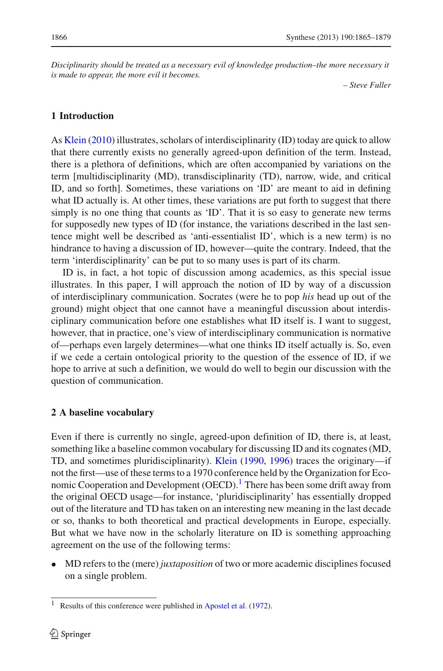*Disciplinarity should be treated as a necessary evil of knowledge production–the more necessary it is made to appear, the more evil it becomes.*

*– Steve Fuller*

## **1 Introduction**

As [Klein](#page-14-0) [\(2010\)](#page-14-0) illustrates, scholars of interdisciplinarity (ID) today are quick to allow that there currently exists no generally agreed-upon definition of the term. Instead, there is a plethora of definitions, which are often accompanied by variations on the term [multidisciplinarity (MD), transdisciplinarity (TD), narrow, wide, and critical ID, and so forth]. Sometimes, these variations on 'ID' are meant to aid in defining what ID actually is. At other times, these variations are put forth to suggest that there simply is no one thing that counts as 'ID'. That it is so easy to generate new terms for supposedly new types of ID (for instance, the variations described in the last sentence might well be described as 'anti-essentialist ID', which is a new term) is no hindrance to having a discussion of ID, however—quite the contrary. Indeed, that the term 'interdisciplinarity' can be put to so many uses is part of its charm.

ID is, in fact, a hot topic of discussion among academics, as this special issue illustrates. In this paper, I will approach the notion of ID by way of a discussion of interdisciplinary communication. Socrates (were he to pop *his* head up out of the ground) might object that one cannot have a meaningful discussion about interdisciplinary communication before one establishes what ID itself is. I want to suggest, however, that in practice, one's view of interdisciplinary communication is normative of—perhaps even largely determines—what one thinks ID itself actually is. So, even if we cede a certain ontological priority to the question of the essence of ID, if we hope to arrive at such a definition, we would do well to begin our discussion with the question of communication.

### **2 A baseline vocabulary**

Even if there is currently no single, agreed-upon definition of ID, there is, at least, something like a baseline common vocabulary for discussing ID and its cognates (MD, TD, and sometimes pluridisciplinarity). [Klein](#page-14-1) [\(1990,](#page-14-1) [1996](#page-14-2)) traces the originary—if not the first—use of these terms to a 1970 conference held by the Organization for Economic Cooperation and Development (OECD).<sup>1</sup> There has been some drift away from the original OECD usage—for instance, 'pluridisciplinarity' has essentially dropped out of the literature and TD has taken on an interesting new meaning in the last decade or so, thanks to both theoretical and practical developments in Europe, especially. But what we have now in the scholarly literature on ID is something approaching agreement on the use of the following terms:

• MD refers to the (mere) *juxtaposition* of two or more academic disciplines focused on a single problem.

<span id="page-1-0"></span>Results of this conference were published in [Apostel et al.](#page-13-0) [\(1972\)](#page-13-0).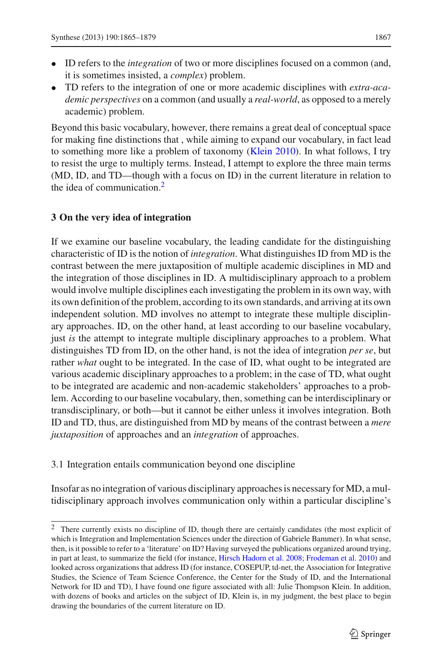- ID refers to the *integration* of two or more disciplines focused on a common (and, it is sometimes insisted, a *complex*) problem.
- TD refers to the integration of one or more academic disciplines with *extra-academic perspectives* on a common (and usually a *real-world*, as opposed to a merely academic) problem.

Beyond this basic vocabulary, however, there remains a great deal of conceptual space for making fine distinctions that , while aiming to expand our vocabulary, in fact lead to something more like a problem of taxonomy [\(Klein 2010](#page-14-0)). In what follows, I try to resist the urge to multiply terms. Instead, I attempt to explore the three main terms (MD, ID, and TD—though with a focus on ID) in the current literature in relation to the idea of communication. $<sup>2</sup>$  $<sup>2</sup>$  $<sup>2</sup>$ </sup>

### **3 On the very idea of integration**

If we examine our baseline vocabulary, the leading candidate for the distinguishing characteristic of ID is the notion of *integration*. What distinguishes ID from MD is the contrast between the mere juxtaposition of multiple academic disciplines in MD and the integration of those disciplines in ID. A multidisciplinary approach to a problem would involve multiple disciplines each investigating the problem in its own way, with its own definition of the problem, according to its own standards, and arriving at its own independent solution. MD involves no attempt to integrate these multiple disciplinary approaches. ID, on the other hand, at least according to our baseline vocabulary, just *is* the attempt to integrate multiple disciplinary approaches to a problem. What distinguishes TD from ID, on the other hand, is not the idea of integration *per se*, but rather *what* ought to be integrated. In the case of ID, what ought to be integrated are various academic disciplinary approaches to a problem; in the case of TD, what ought to be integrated are academic and non-academic stakeholders' approaches to a problem. According to our baseline vocabulary, then, something can be interdisciplinary or transdisciplinary, or both—but it cannot be either unless it involves integration. Both ID and TD, thus, are distinguished from MD by means of the contrast between a *mere juxtaposition* of approaches and an *integration* of approaches.

<span id="page-2-1"></span>3.1 Integration entails communication beyond one discipline

Insofar as no integration of various disciplinary approaches is necessary for MD, a multidisciplinary approach involves communication only within a particular discipline's

<span id="page-2-0"></span><sup>&</sup>lt;sup>2</sup> There currently exists no discipline of ID, though there are certainly candidates (the most explicit of which is Integration and Implementation Sciences under the direction of Gabriele Bammer). In what sense, then, is it possible to refer to a 'literature' on ID? Having surveyed the publications organized around trying, in part at least, to summarize the field (for instance, [Hirsch Hadorn et al. 2008;](#page-14-3) [Frodeman et al. 2010\)](#page-13-1) and looked across organizations that address ID (for instance, COSEPUP, td-net, the Association for Integrative Studies, the Science of Team Science Conference, the Center for the Study of ID, and the International Network for ID and TD), I have found one figure associated with all: Julie Thompson Klein. In addition, with dozens of books and articles on the subject of ID, Klein is, in my judgment, the best place to begin drawing the boundaries of the current literature on ID.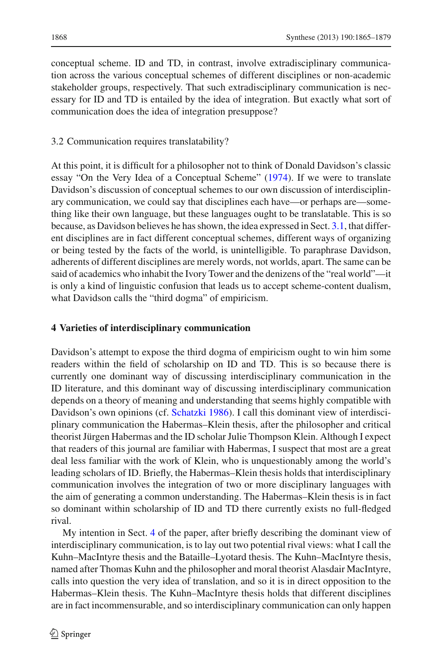conceptual scheme. ID and TD, in contrast, involve extradisciplinary communication across the various conceptual schemes of different disciplines or non-academic stakeholder groups, respectively. That such extradisciplinary communication is necessary for ID and TD is entailed by the idea of integration. But exactly what sort of communication does the idea of integration presuppose?

# 3.2 Communication requires translatability?

At this point, it is difficult for a philosopher not to think of Donald Davidson's classic essay "On the Very Idea of a Conceptual Scheme" [\(1974\)](#page-13-2). If we were to translate Davidson's discussion of conceptual schemes to our own discussion of interdisciplinary communication, we could say that disciplines each have—or perhaps are—something like their own language, but these languages ought to be translatable. This is so because, as Davidson believes he has shown, the idea expressed in Sect. [3.1,](#page-2-1) that different disciplines are in fact different conceptual schemes, different ways of organizing or being tested by the facts of the world, is unintelligible. To paraphrase Davidson, adherents of different disciplines are merely words, not worlds, apart. The same can be said of academics who inhabit the Ivory Tower and the denizens of the "real world"—it is only a kind of linguistic confusion that leads us to accept scheme-content dualism, what Davidson calls the "third dogma" of empiricism.

# <span id="page-3-0"></span>**4 Varieties of interdisciplinary communication**

Davidson's attempt to expose the third dogma of empiricism ought to win him some readers within the field of scholarship on ID and TD. This is so because there is currently one dominant way of discussing interdisciplinary communication in the ID literature, and this dominant way of discussing interdisciplinary communication depends on a theory of meaning and understanding that seems highly compatible with Davidson's own opinions (cf. [Schatzki 1986\)](#page-14-4). I call this dominant view of interdisciplinary communication the Habermas–Klein thesis, after the philosopher and critical theorist Jürgen Habermas and the ID scholar Julie Thompson Klein. Although I expect that readers of this journal are familiar with Habermas, I suspect that most are a great deal less familiar with the work of Klein, who is unquestionably among the world's leading scholars of ID. Briefly, the Habermas–Klein thesis holds that interdisciplinary communication involves the integration of two or more disciplinary languages with the aim of generating a common understanding. The Habermas–Klein thesis is in fact so dominant within scholarship of ID and TD there currently exists no full-fledged rival.

My intention in Sect. [4](#page-3-0) of the paper, after briefly describing the dominant view of interdisciplinary communication, is to lay out two potential rival views: what I call the Kuhn–MacIntyre thesis and the Bataille–Lyotard thesis. The Kuhn–MacIntyre thesis, named after Thomas Kuhn and the philosopher and moral theorist Alasdair MacIntyre, calls into question the very idea of translation, and so it is in direct opposition to the Habermas–Klein thesis. The Kuhn–MacIntyre thesis holds that different disciplines are in fact incommensurable, and so interdisciplinary communication can only happen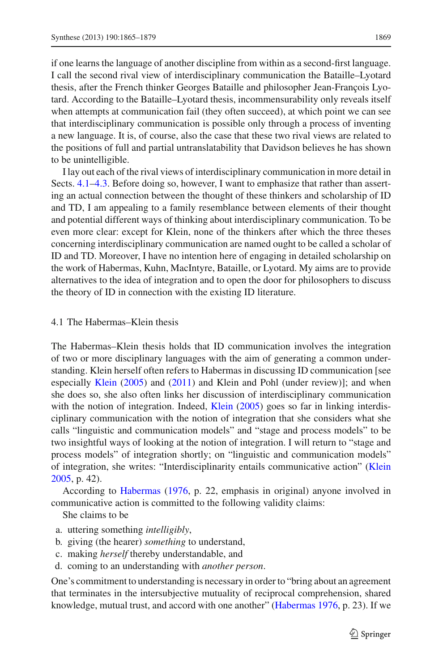if one learns the language of another discipline from within as a second-first language. I call the second rival view of interdisciplinary communication the Bataille–Lyotard thesis, after the French thinker Georges Bataille and philosopher Jean-François Lyotard. According to the Bataille–Lyotard thesis, incommensurability only reveals itself when attempts at communication fail (they often succeed), at which point we can see that interdisciplinary communication is possible only through a process of inventing a new language. It is, of course, also the case that these two rival views are related to the positions of full and partial untranslatability that Davidson believes he has shown to be unintelligible.

I lay out each of the rival views of interdisciplinary communication in more detail in Sects. [4.1](#page-4-0)[–4.3.](#page-9-0) Before doing so, however, I want to emphasize that rather than asserting an actual connection between the thought of these thinkers and scholarship of ID and TD, I am appealing to a family resemblance between elements of their thought and potential different ways of thinking about interdisciplinary communication. To be even more clear: except for Klein, none of the thinkers after which the three theses concerning interdisciplinary communication are named ought to be called a scholar of ID and TD. Moreover, I have no intention here of engaging in detailed scholarship on the work of Habermas, Kuhn, MacIntyre, Bataille, or Lyotard. My aims are to provide alternatives to the idea of integration and to open the door for philosophers to discuss the theory of ID in connection with the existing ID literature.

### <span id="page-4-0"></span>4.1 The Habermas–Klein thesis

The Habermas–Klein thesis holds that ID communication involves the integration of two or more disciplinary languages with the aim of generating a common understanding. Klein herself often refers to Habermas in discussing ID communication [see especially [Klein](#page-14-5) [\(2005\)](#page-14-5) and [\(2011](#page-14-6)) and Klein and Pohl (under review)]; and when she does so, she also often links her discussion of interdisciplinary communication with the notion of integration. Indeed, [Klein](#page-14-5) [\(2005\)](#page-14-5) goes so far in linking interdisciplinary communication with the notion of integration that she considers what she calls "linguistic and communication models" and "stage and process models" to be two insightful ways of looking at the notion of integration. I will return to "stage and process models" of integration shortly; on "linguistic and communication models" of integration, she writes: "Interdisciplinarity entails communicative action" [\(Klein](#page-14-5) [2005,](#page-14-5) p. 42).

According to [Habermas](#page-14-7) [\(1976,](#page-14-7) p. 22, emphasis in original) anyone involved in communicative action is committed to the following validity claims:

She claims to be

- a. uttering something *intelligibly*,
- b. giving (the hearer) *something* to understand,
- c. making *herself* thereby understandable, and
- d. coming to an understanding with *another person*.

One's commitment to understanding is necessary in order to "bring about an agreement that terminates in the intersubjective mutuality of reciprocal comprehension, shared knowledge, mutual trust, and accord with one another" [\(Habermas 1976](#page-14-7), p. 23). If we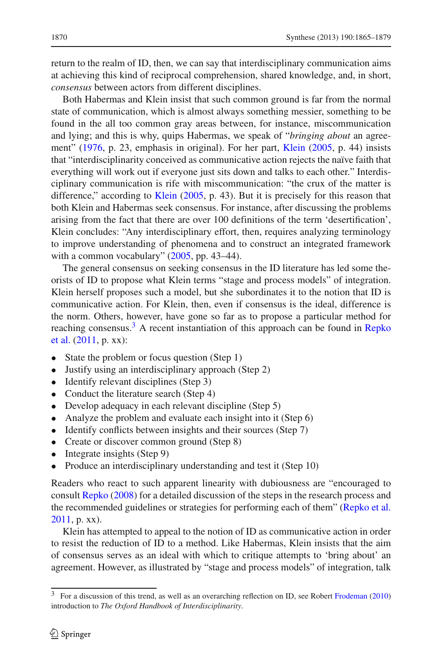return to the realm of ID, then, we can say that interdisciplinary communication aims at achieving this kind of reciprocal comprehension, shared knowledge, and, in short, *consensus* between actors from different disciplines.

Both Habermas and Klein insist that such common ground is far from the normal state of communication, which is almost always something messier, something to be found in the all too common gray areas between, for instance, miscommunication and lying; and this is why, quips Habermas, we speak of "*bringing about* an agreement" [\(1976,](#page-14-7) p. 23, emphasis in original). For her part, [Klein](#page-14-5) [\(2005,](#page-14-5) p. 44) insists that "interdisciplinarity conceived as communicative action rejects the naïve faith that everything will work out if everyone just sits down and talks to each other." Interdisciplinary communication is rife with miscommunication: "the crux of the matter is difference," according to [Klein](#page-14-5) [\(2005](#page-14-5), p. 43). But it is precisely for this reason that both Klein and Habermas seek consensus. For instance, after discussing the problems arising from the fact that there are over 100 definitions of the term 'desertification', Klein concludes: "Any interdisciplinary effort, then, requires analyzing terminology to improve understanding of phenomena and to construct an integrated framework with a common vocabulary" [\(2005](#page-14-5), pp. 43–44).

The general consensus on seeking consensus in the ID literature has led some theorists of ID to propose what Klein terms "stage and process models" of integration. Klein herself proposes such a model, but she subordinates it to the notion that ID is communicative action. For Klein, then, even if consensus is the ideal, difference is the norm. Others, however, have gone so far as to propose a particular method for reach[in](#page-14-8)g consensus. $3$  [A](#page-14-8) [recent](#page-14-8) [instantiation](#page-14-8) [of](#page-14-8) [this](#page-14-8) [approach](#page-14-8) [can](#page-14-8) [be](#page-14-8) [found](#page-14-8) in Repko et al. [\(2011,](#page-14-8) p. xx):

- State the problem or focus question (Step 1)
- Justify using an interdisciplinary approach (Step 2)
- Identify relevant disciplines (Step 3)
- Conduct the literature search (Step 4)
- Develop adequacy in each relevant discipline (Step 5)
- Analyze the problem and evaluate each insight into it (Step 6)
- Identify conflicts between insights and their sources (Step 7)
- Create or discover common ground (Step 8)
- Integrate insights (Step 9)
- Produce an interdisciplinary understanding and test it (Step 10)

Readers who react to such apparent linearity with dubiousness are "encouraged to consult [Repko](#page-14-9) [\(2008\)](#page-14-9) for a detailed discussion of the steps in the research process and the recommended guidelines or strategies for performing each of them" [\(Repko et al.](#page-14-8) [2011,](#page-14-8) p. xx).

Klein has attempted to appeal to the notion of ID as communicative action in order to resist the reduction of ID to a method. Like Habermas, Klein insists that the aim of consensus serves as an ideal with which to critique attempts to 'bring about' an agreement. However, as illustrated by "stage and process models" of integration, talk

<span id="page-5-0"></span><sup>&</sup>lt;sup>3</sup> For a discussion of this trend, as well as an overarching reflection on ID, see Robert [Frodeman](#page-13-3) [\(2010](#page-13-3)) introduction to *The Oxford Handbook of Interdisciplinarity*.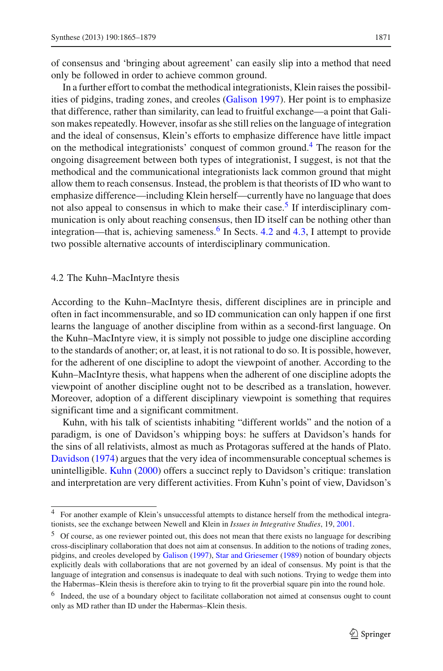of consensus and 'bringing about agreement' can easily slip into a method that need only be followed in order to achieve common ground.

In a further effort to combat the methodical integrationists, Klein raises the possibilities of pidgins, trading zones, and creoles [\(Galison 1997\)](#page-13-4). Her point is to emphasize that difference, rather than similarity, can lead to fruitful exchange—a point that Galison makes repeatedly. However, insofar as she still relies on the language of integration and the ideal of consensus, Klein's efforts to emphasize difference have little impact on the methodical integrationists' conquest of common ground.[4](#page-6-0) The reason for the ongoing disagreement between both types of integrationist, I suggest, is not that the methodical and the communicational integrationists lack common ground that might allow them to reach consensus. Instead, the problem is that theorists of ID who want to emphasize difference—including Klein herself—currently have no language that does not also appeal to consensus in which to make their case.<sup>5</sup> If interdisciplinary communication is only about reaching consensus, then ID itself can be nothing other than integration—that is, achieving sameness. $6$  In Sects. [4.2](#page-6-3) and [4.3,](#page-9-0) I attempt to provide two possible alternative accounts of interdisciplinary communication.

#### <span id="page-6-3"></span>4.2 The Kuhn–MacIntyre thesis

According to the Kuhn–MacIntyre thesis, different disciplines are in principle and often in fact incommensurable, and so ID communication can only happen if one first learns the language of another discipline from within as a second-first language. On the Kuhn–MacIntyre view, it is simply not possible to judge one discipline according to the standards of another; or, at least, it is not rational to do so. It is possible, however, for the adherent of one discipline to adopt the viewpoint of another. According to the Kuhn–MacIntyre thesis, what happens when the adherent of one discipline adopts the viewpoint of another discipline ought not to be described as a translation, however. Moreover, adoption of a different disciplinary viewpoint is something that requires significant time and a significant commitment.

Kuhn, with his talk of scientists inhabiting "different worlds" and the notion of a paradigm, is one of Davidson's whipping boys: he suffers at Davidson's hands for the sins of all relativists, almost as much as Protagoras suffered at the hands of Plato. [Davidson](#page-13-2) [\(1974](#page-13-2)) argues that the very idea of incommensurable conceptual schemes is unintelligible. [Kuhn](#page-14-10) [\(2000\)](#page-14-10) offers a succinct reply to Davidson's critique: translation and interpretation are very different activities. From Kuhn's point of view, Davidson's

<span id="page-6-0"></span><sup>4</sup> For another example of Klein's unsuccessful attempts to distance herself from the methodical integrationists, see the exchange between Newell and Klein in *Issues in Integrative Studies*, 19, [2001](#page-14-11).

<span id="page-6-1"></span><sup>5</sup> Of course, as one reviewer pointed out, this does not mean that there exists no language for describing cross-disciplinary collaboration that does not aim at consensus. In addition to the notions of trading zones, pidgins, and creoles developed by [Galison](#page-13-4) [\(1997](#page-13-4)), [Star and Griesemer](#page-14-12) [\(1989\)](#page-14-12) notion of boundary objects explicitly deals with collaborations that are not governed by an ideal of consensus. My point is that the language of integration and consensus is inadequate to deal with such notions. Trying to wedge them into the Habermas–Klein thesis is therefore akin to trying to fit the proverbial square pin into the round hole.

<span id="page-6-2"></span><sup>&</sup>lt;sup>6</sup> Indeed, the use of a boundary object to facilitate collaboration not aimed at consensus ought to count only as MD rather than ID under the Habermas–Klein thesis.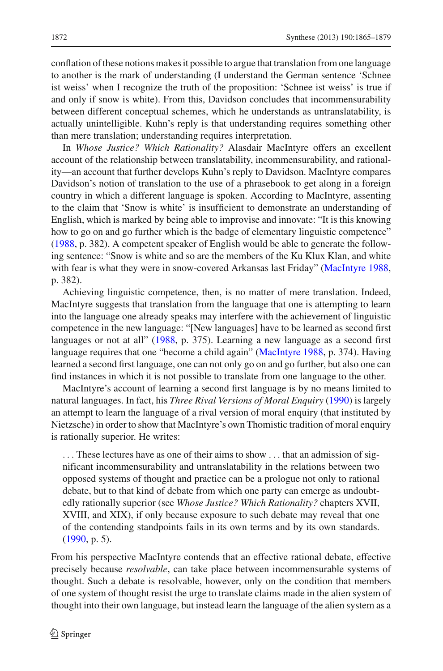conflation of these notions makes it possible to argue that translation from one language to another is the mark of understanding (I understand the German sentence 'Schnee ist weiss' when I recognize the truth of the proposition: 'Schnee ist weiss' is true if and only if snow is white). From this, Davidson concludes that incommensurability between different conceptual schemes, which he understands as untranslatability, is actually unintelligible. Kuhn's reply is that understanding requires something other than mere translation; understanding requires interpretation.

In *Whose Justice? Which Rationality?* Alasdair MacIntyre offers an excellent account of the relationship between translatability, incommensurability, and rationality—an account that further develops Kuhn's reply to Davidson. MacIntyre compares Davidson's notion of translation to the use of a phrasebook to get along in a foreign country in which a different language is spoken. According to MacIntyre, assenting to the claim that 'Snow is white' is insufficient to demonstrate an understanding of English, which is marked by being able to improvise and innovate: "It is this knowing how to go on and go further which is the badge of elementary linguistic competence" [\(1988,](#page-14-13) p. 382). A competent speaker of English would be able to generate the following sentence: "Snow is white and so are the members of the Ku Klux Klan, and white with fear is what they were in snow-covered Arkansas last Friday" [\(MacIntyre 1988,](#page-14-13) p. 382).

Achieving linguistic competence, then, is no matter of mere translation. Indeed, MacIntyre suggests that translation from the language that one is attempting to learn into the language one already speaks may interfere with the achievement of linguistic competence in the new language: "[New languages] have to be learned as second first languages or not at all" [\(1988,](#page-14-13) p. 375). Learning a new language as a second first language requires that one "become a child again" [\(MacIntyre 1988,](#page-14-13) p. 374). Having learned a second first language, one can not only go on and go further, but also one can find instances in which it is not possible to translate from one language to the other.

MacIntyre's account of learning a second first language is by no means limited to natural languages. In fact, his *Three Rival Versions of Moral Enquiry* [\(1990](#page-14-14)) is largely an attempt to learn the language of a rival version of moral enquiry (that instituted by Nietzsche) in order to show that MacIntyre's own Thomistic tradition of moral enquiry is rationally superior. He writes:

*...* These lectures have as one of their aims to show *...* that an admission of significant incommensurability and untranslatability in the relations between two opposed systems of thought and practice can be a prologue not only to rational debate, but to that kind of debate from which one party can emerge as undoubtedly rationally superior (see *Whose Justice? Which Rationality?* chapters XVII, XVIII, and XIX), if only because exposure to such debate may reveal that one of the contending standpoints fails in its own terms and by its own standards. [\(1990](#page-14-14), p. 5).

From his perspective MacIntyre contends that an effective rational debate, effective precisely because *resolvable*, can take place between incommensurable systems of thought. Such a debate is resolvable, however, only on the condition that members of one system of thought resist the urge to translate claims made in the alien system of thought into their own language, but instead learn the language of the alien system as a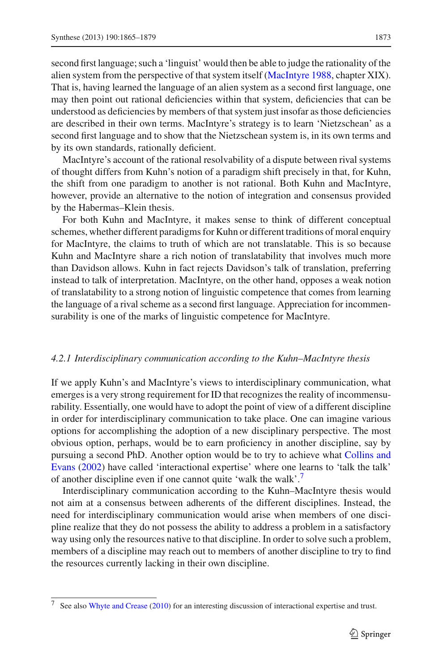second first language; such a 'linguist' would then be able to judge the rationality of the alien system from the perspective of that system itself [\(MacIntyre 1988,](#page-14-13) chapter XIX). That is, having learned the language of an alien system as a second first language, one may then point out rational deficiencies within that system, deficiencies that can be understood as deficiencies by members of that system just insofar as those deficiencies are described in their own terms. MacIntyre's strategy is to learn 'Nietzschean' as a second first language and to show that the Nietzschean system is, in its own terms and by its own standards, rationally deficient.

MacIntyre's account of the rational resolvability of a dispute between rival systems of thought differs from Kuhn's notion of a paradigm shift precisely in that, for Kuhn, the shift from one paradigm to another is not rational. Both Kuhn and MacIntyre, however, provide an alternative to the notion of integration and consensus provided by the Habermas–Klein thesis.

For both Kuhn and MacIntyre, it makes sense to think of different conceptual schemes, whether different paradigms for Kuhn or different traditions of moral enquiry for MacIntyre, the claims to truth of which are not translatable. This is so because Kuhn and MacIntyre share a rich notion of translatability that involves much more than Davidson allows. Kuhn in fact rejects Davidson's talk of translation, preferring instead to talk of interpretation. MacIntyre, on the other hand, opposes a weak notion of translatability to a strong notion of linguistic competence that comes from learning the language of a rival scheme as a second first language. Appreciation for incommensurability is one of the marks of linguistic competence for MacIntyre.

#### *4.2.1 Interdisciplinary communication according to the Kuhn–MacIntyre thesis*

If we apply Kuhn's and MacIntyre's views to interdisciplinary communication, what emerges is a very strong requirement for ID that recognizes the reality of incommensurability. Essentially, one would have to adopt the point of view of a different discipline in order for interdisciplinary communication to take place. One can imagine various options for accomplishing the adoption of a new disciplinary perspective. The most obvious option, perhaps, would be to earn proficiency in another discipline, say by pursu[ing](#page-13-5) [a](#page-13-5) [second](#page-13-5) [PhD.](#page-13-5) [Another](#page-13-5) [option](#page-13-5) [would](#page-13-5) [be](#page-13-5) [to](#page-13-5) [try](#page-13-5) [to](#page-13-5) [achieve](#page-13-5) [what](#page-13-5) Collins and Evans [\(2002\)](#page-13-5) have called 'interactional expertise' where one learns to 'talk the talk' of another discipline even if one cannot quite 'walk the walk'.[7](#page-8-0)

Interdisciplinary communication according to the Kuhn–MacIntyre thesis would not aim at a consensus between adherents of the different disciplines. Instead, the need for interdisciplinary communication would arise when members of one discipline realize that they do not possess the ability to address a problem in a satisfactory way using only the resources native to that discipline. In order to solve such a problem, members of a discipline may reach out to members of another discipline to try to find the resources currently lacking in their own discipline.

<span id="page-8-0"></span>See also [Whyte and Crease](#page-14-15) [\(2010](#page-14-15)) for an interesting discussion of interactional expertise and trust.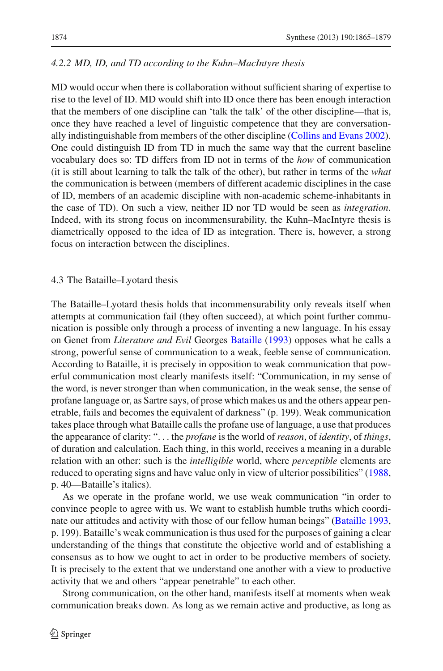#### *4.2.2 MD, ID, and TD according to the Kuhn–MacIntyre thesis*

MD would occur when there is collaboration without sufficient sharing of expertise to rise to the level of ID. MD would shift into ID once there has been enough interaction that the members of one discipline can 'talk the talk' of the other discipline—that is, once they have reached a level of linguistic competence that they are conversationally indistinguishable from members of the other discipline [\(Collins and Evans 2002](#page-13-5)). One could distinguish ID from TD in much the same way that the current baseline vocabulary does so: TD differs from ID not in terms of the *how* of communication (it is still about learning to talk the talk of the other), but rather in terms of the *what* the communication is between (members of different academic disciplines in the case of ID, members of an academic discipline with non-academic scheme-inhabitants in the case of TD). On such a view, neither ID nor TD would be seen as *integration*. Indeed, with its strong focus on incommensurability, the Kuhn–MacIntyre thesis is diametrically opposed to the idea of ID as integration. There is, however, a strong focus on interaction between the disciplines.

#### <span id="page-9-0"></span>4.3 The Bataille–Lyotard thesis

The Bataille–Lyotard thesis holds that incommensurability only reveals itself when attempts at communication fail (they often succeed), at which point further communication is possible only through a process of inventing a new language. In his essay on Genet from *Literature and Evil* Georges [Bataille](#page-13-6) [\(1993](#page-13-6)) opposes what he calls a strong, powerful sense of communication to a weak, feeble sense of communication. According to Bataille, it is precisely in opposition to weak communication that powerful communication most clearly manifests itself: "Communication, in my sense of the word, is never stronger than when communication, in the weak sense, the sense of profane language or, as Sartre says, of prose which makes us and the others appear penetrable, fails and becomes the equivalent of darkness" (p. 199). Weak communication takes place through what Bataille calls the profane use of language, a use that produces the appearance of clarity: "*...* the *profane* is the world of *reason*, of *identity*, of *things*, of duration and calculation. Each thing, in this world, receives a meaning in a durable relation with an other: such is the *intelligible* world, where *perceptible* elements are reduced to operating signs and have value only in view of ulterior possibilities" [\(1988,](#page-13-7) p. 40—Bataille's italics).

As we operate in the profane world, we use weak communication "in order to convince people to agree with us. We want to establish humble truths which coordinate our attitudes and activity with those of our fellow human beings" [\(Bataille 1993,](#page-13-6) p. 199). Bataille's weak communication is thus used for the purposes of gaining a clear understanding of the things that constitute the objective world and of establishing a consensus as to how we ought to act in order to be productive members of society. It is precisely to the extent that we understand one another with a view to productive activity that we and others "appear penetrable" to each other.

Strong communication, on the other hand, manifests itself at moments when weak communication breaks down. As long as we remain active and productive, as long as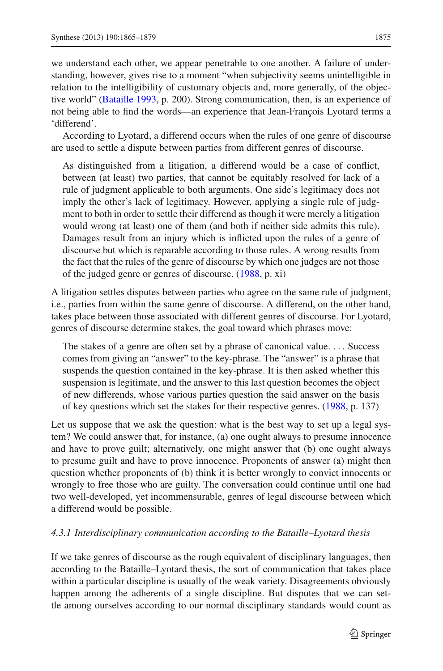we understand each other, we appear penetrable to one another. A failure of understanding, however, gives rise to a moment "when subjectivity seems unintelligible in relation to the intelligibility of customary objects and, more generally, of the objective world" [\(Bataille 1993](#page-13-6), p. 200). Strong communication, then, is an experience of not being able to find the words—an experience that Jean-François Lyotard terms a 'differend'.

According to Lyotard, a differend occurs when the rules of one genre of discourse are used to settle a dispute between parties from different genres of discourse.

As distinguished from a litigation, a differend would be a case of conflict, between (at least) two parties, that cannot be equitably resolved for lack of a rule of judgment applicable to both arguments. One side's legitimacy does not imply the other's lack of legitimacy. However, applying a single rule of judgment to both in order to settle their differend as though it were merely a litigation would wrong (at least) one of them (and both if neither side admits this rule). Damages result from an injury which is inflicted upon the rules of a genre of discourse but which is reparable according to those rules. A wrong results from the fact that the rules of the genre of discourse by which one judges are not those of the judged genre or genres of discourse. [\(1988,](#page-14-16) p. xi)

A litigation settles disputes between parties who agree on the same rule of judgment, i.e., parties from within the same genre of discourse. A differend, on the other hand, takes place between those associated with different genres of discourse. For Lyotard, genres of discourse determine stakes, the goal toward which phrases move:

The stakes of a genre are often set by a phrase of canonical value. *...* Success comes from giving an "answer" to the key-phrase. The "answer" is a phrase that suspends the question contained in the key-phrase. It is then asked whether this suspension is legitimate, and the answer to this last question becomes the object of new differends, whose various parties question the said answer on the basis of key questions which set the stakes for their respective genres. [\(1988,](#page-14-16) p. 137)

Let us suppose that we ask the question: what is the best way to set up a legal system? We could answer that, for instance, (a) one ought always to presume innocence and have to prove guilt; alternatively, one might answer that (b) one ought always to presume guilt and have to prove innocence. Proponents of answer (a) might then question whether proponents of (b) think it is better wrongly to convict innocents or wrongly to free those who are guilty. The conversation could continue until one had two well-developed, yet incommensurable, genres of legal discourse between which a differend would be possible.

### *4.3.1 Interdisciplinary communication according to the Bataille–Lyotard thesis*

If we take genres of discourse as the rough equivalent of disciplinary languages, then according to the Bataille–Lyotard thesis, the sort of communication that takes place within a particular discipline is usually of the weak variety. Disagreements obviously happen among the adherents of a single discipline. But disputes that we can settle among ourselves according to our normal disciplinary standards would count as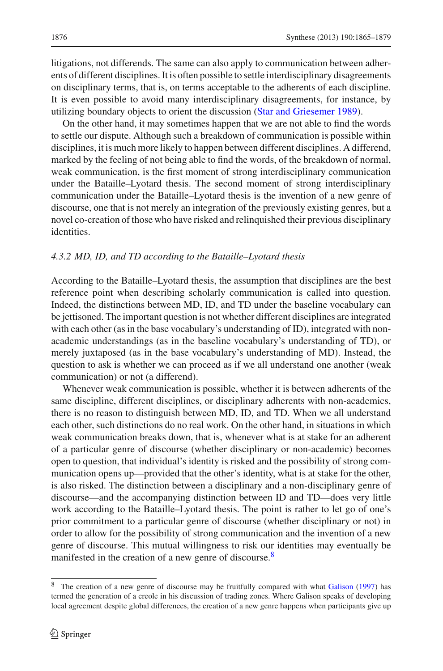litigations, not differends. The same can also apply to communication between adherents of different disciplines. It is often possible to settle interdisciplinary disagreements on disciplinary terms, that is, on terms acceptable to the adherents of each discipline. It is even possible to avoid many interdisciplinary disagreements, for instance, by utilizing boundary objects to orient the discussion [\(Star and Griesemer 1989\)](#page-14-12).

On the other hand, it may sometimes happen that we are not able to find the words to settle our dispute. Although such a breakdown of communication is possible within disciplines, it is much more likely to happen between different disciplines. A differend, marked by the feeling of not being able to find the words, of the breakdown of normal, weak communication, is the first moment of strong interdisciplinary communication under the Bataille–Lyotard thesis. The second moment of strong interdisciplinary communication under the Bataille–Lyotard thesis is the invention of a new genre of discourse, one that is not merely an integration of the previously existing genres, but a novel co-creation of those who have risked and relinquished their previous disciplinary identities.

### *4.3.2 MD, ID, and TD according to the Bataille–Lyotard thesis*

According to the Bataille–Lyotard thesis, the assumption that disciplines are the best reference point when describing scholarly communication is called into question. Indeed, the distinctions between MD, ID, and TD under the baseline vocabulary can be jettisoned. The important question is not whether different disciplines are integrated with each other (as in the base vocabulary's understanding of ID), integrated with nonacademic understandings (as in the baseline vocabulary's understanding of TD), or merely juxtaposed (as in the base vocabulary's understanding of MD). Instead, the question to ask is whether we can proceed as if we all understand one another (weak communication) or not (a differend).

Whenever weak communication is possible, whether it is between adherents of the same discipline, different disciplines, or disciplinary adherents with non-academics, there is no reason to distinguish between MD, ID, and TD. When we all understand each other, such distinctions do no real work. On the other hand, in situations in which weak communication breaks down, that is, whenever what is at stake for an adherent of a particular genre of discourse (whether disciplinary or non-academic) becomes open to question, that individual's identity is risked and the possibility of strong communication opens up—provided that the other's identity, what is at stake for the other, is also risked. The distinction between a disciplinary and a non-disciplinary genre of discourse—and the accompanying distinction between ID and TD—does very little work according to the Bataille–Lyotard thesis. The point is rather to let go of one's prior commitment to a particular genre of discourse (whether disciplinary or not) in order to allow for the possibility of strong communication and the invention of a new genre of discourse. This mutual willingness to risk our identities may eventually be manifested in the creation of a new genre of discourse.<sup>8</sup>

<span id="page-11-0"></span><sup>8</sup> The creation of a new genre of discourse may be fruitfully compared with what [Galison](#page-13-4) [\(1997](#page-13-4)) has termed the generation of a creole in his discussion of trading zones. Where Galison speaks of developing local agreement despite global differences, the creation of a new genre happens when participants give up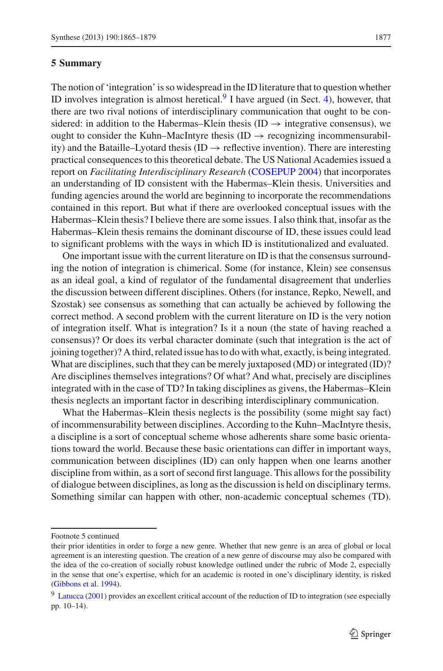The notion of 'integration' is so widespread in the ID literature that to question whether ID involves integration is almost heretical. I have argued (in Sect. [4\)](#page-3-0), however, that there are two rival notions of interdisciplinary communication that ought to be considered: in addition to the Habermas–Klein thesis (ID  $\rightarrow$  integrative consensus), we ought to consider the Kuhn–MacIntyre thesis (ID  $\rightarrow$  recognizing incommensurability) and the Bataille–Lyotard thesis (ID  $\rightarrow$  reflective invention). There are interesting practical consequences to this theoretical debate. The US National Academies issued a report on *Facilitating Interdisciplinary Research* [\(COSEPUP 2004\)](#page-13-8) that incorporates an understanding of ID consistent with the Habermas–Klein thesis. Universities and funding agencies around the world are beginning to incorporate the recommendations contained in this report. But what if there are overlooked conceptual issues with the Habermas–Klein thesis? I believe there are some issues. I also think that, insofar as the Habermas–Klein thesis remains the dominant discourse of ID, these issues could lead to significant problems with the ways in which ID is institutionalized and evaluated.

One important issue with the current literature on ID is that the consensus surrounding the notion of integration is chimerical. Some (for instance, Klein) see consensus as an ideal goal, a kind of regulator of the fundamental disagreement that underlies the discussion between different disciplines. Others (for instance, Repko, Newell, and Szostak) see consensus as something that can actually be achieved by following the correct method. A second problem with the current literature on ID is the very notion of integration itself. What is integration? Is it a noun (the state of having reached a consensus)? Or does its verbal character dominate (such that integration is the act of joining together)? A third, related issue has to do with what, exactly, is being integrated. What are disciplines, such that they can be merely juxtaposed (MD) or integrated (ID)? Are disciplines themselves integrations? Of what? And what, precisely are disciplines integrated with in the case of TD? In taking disciplines as givens, the Habermas–Klein thesis neglects an important factor in describing interdisciplinary communication.

What the Habermas–Klein thesis neglects is the possibility (some might say fact) of incommensurability between disciplines. According to the Kuhn–MacIntyre thesis, a discipline is a sort of conceptual scheme whose adherents share some basic orientations toward the world. Because these basic orientations can differ in important ways, communication between disciplines (ID) can only happen when one learns another discipline from within, as a sort of second first language. This allows for the possibility of dialogue between disciplines, as long as the discussion is held on disciplinary terms. Something similar can happen with other, non-academic conceptual schemes (TD).

Footnote 5 continued

their prior identities in order to forge a new genre. Whether that new genre is an area of global or local agreement is an interesting question. The creation of a new genre of discourse may also be compared with the idea of the co-creation of socially robust knowledge outlined under the rubric of Mode 2, especially in the sense that one's expertise, which for an academic is rooted in one's disciplinary identity, is risked [\(Gibbons et al. 1994\)](#page-14-17).

<span id="page-12-0"></span><sup>9</sup> [Latucca](#page-14-18) [\(2001](#page-14-18)) provides an excellent critical account of the reduction of ID to integration (see especially pp. 10–14).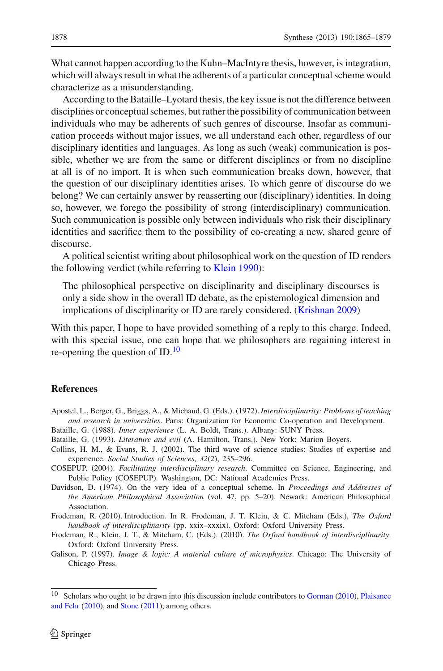What cannot happen according to the Kuhn–MacIntyre thesis, however, is integration, which will always result in what the adherents of a particular conceptual scheme would characterize as a misunderstanding.

According to the Bataille–Lyotard thesis, the key issue is not the difference between disciplines or conceptual schemes, but rather the possibility of communication between individuals who may be adherents of such genres of discourse. Insofar as communication proceeds without major issues, we all understand each other, regardless of our disciplinary identities and languages. As long as such (weak) communication is possible, whether we are from the same or different disciplines or from no discipline at all is of no import. It is when such communication breaks down, however, that the question of our disciplinary identities arises. To which genre of discourse do we belong? We can certainly answer by reasserting our (disciplinary) identities. In doing so, however, we forego the possibility of strong (interdisciplinary) communication. Such communication is possible only between individuals who risk their disciplinary identities and sacrifice them to the possibility of co-creating a new, shared genre of discourse.

A political scientist writing about philosophical work on the question of ID renders the following verdict (while referring to [Klein 1990](#page-14-1)):

The philosophical perspective on disciplinarity and disciplinary discourses is only a side show in the overall ID debate, as the epistemological dimension and implications of disciplinarity or ID are rarely considered. [\(Krishnan 2009](#page-14-19))

With this paper, I hope to have provided something of a reply to this charge. Indeed, with this special issue, one can hope that we philosophers are regaining interest in re-opening the question of  $ID.10$  $ID.10$ 

#### **References**

- <span id="page-13-0"></span>Apostel, L., Berger, G., Briggs, A., & Michaud, G. (Eds.). (1972). *Interdisciplinarity: Problems of teaching and research in universities*. Paris: Organization for Economic Co-operation and Development.
- <span id="page-13-7"></span>Bataille, G. (1988). *Inner experience* (L. A. Boldt, Trans.). Albany: SUNY Press.
- <span id="page-13-6"></span>Bataille, G. (1993). *Literature and evil* (A. Hamilton, Trans.). New York: Marion Boyers.
- <span id="page-13-5"></span>Collins, H. M., & Evans, R. J. (2002). The third wave of science studies: Studies of expertise and experience. *Social Studies of Sciences, 32*(2), 235–296.
- <span id="page-13-8"></span>COSEPUP. (2004). *Facilitating interdisciplinary research*. Committee on Science, Engineering, and Public Policy (COSEPUP). Washington, DC: National Academies Press.
- <span id="page-13-2"></span>Davidson, D. (1974). On the very idea of a conceptual scheme. In *Proceedings and Addresses of the American Philosophical Association* (vol. 47, pp. 5–20). Newark: American Philosophical Association.

<span id="page-13-3"></span>Frodeman, R. (2010). Introduction. In R. Frodeman, J. T. Klein, & C. Mitcham (Eds.), *The Oxford handbook of interdisciplinarity* (pp. xxix–xxxix). Oxford: Oxford University Press.

- <span id="page-13-1"></span>Frodeman, R., Klein, J. T., & Mitcham, C. (Eds.). (2010). *The Oxford handbook of interdisciplinarity*. Oxford: Oxford University Press.
- <span id="page-13-4"></span>Galison, P. (1997). *Image & logic: A material culture of microphysics*. Chicago: The University of Chicago Press.

<span id="page-13-9"></span><sup>&</sup>lt;sup>10</sup> Sch[olars](#page-14-21) [who](#page-14-21) [ought](#page-14-21) [to](#page-14-21) [be](#page-14-21) [drawn](#page-14-21) [into](#page-14-21) [this](#page-14-21) [discussion](#page-14-21) [include](#page-14-21) [contributors](#page-14-21) to [Gorman](#page-14-20) [\(2010](#page-14-20)), Plaisance and Fehr [\(2010](#page-14-21)), and [Stone](#page-14-22) [\(2011](#page-14-22)), among others.